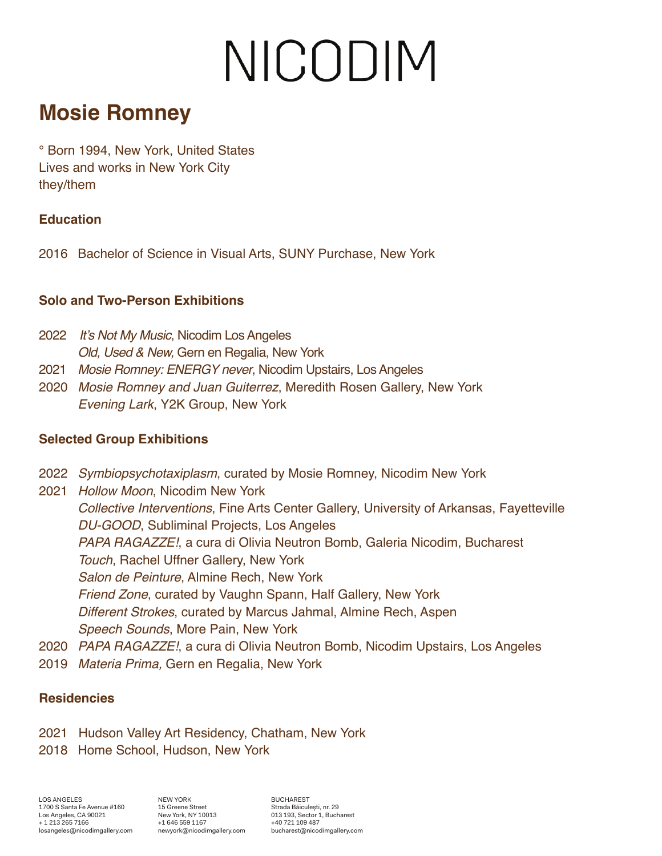# NICODIM

### **Mosie Romney**

° Born 1994, New York, United States Lives and works in New York City they/them

#### **Education**

2016 Bachelor of Science in Visual Arts, SUNY Purchase, New York

#### **Solo and Two-Person Exhibitions**

- 2022 It's Not My Music, Nicodim Los Angeles Old, Used & New, Gern en Regalia, New York
- 2021 Mosie Romney: ENERGY never, Nicodim Upstairs, Los Angeles
- 2020 Mosie Romney and Juan Guiterrez, Meredith Rosen Gallery, New York Evening Lark, Y2K Group, New York

#### **Selected Group Exhibitions**

- 2022 Symbiopsychotaxiplasm, curated by Mosie Romney, Nicodim New York
- 2021 Hollow Moon, Nicodim New York Collective Interventions, Fine Arts Center Gallery, University of Arkansas, Fayetteville DU-GOOD, Subliminal Projects, Los Angeles PAPA RAGAZZE!, a cura di Olivia Neutron Bomb, Galeria Nicodim, Bucharest Touch, Rachel Uffner Gallery, New York Salon de Peinture, Almine Rech, New York Friend Zone, curated by Vaughn Spann, Half Gallery, New York Different Strokes, curated by Marcus Jahmal, Almine Rech, Aspen Speech Sounds, More Pain, New York
- 2020 PAPA RAGAZZE!, a cura di Olivia Neutron Bomb, Nicodim Upstairs, Los Angeles
- 2019 Materia Prima, Gern en Regalia, New York

#### **Residencies**

- 2021 Hudson Valley Art Residency, Chatham, New York
- 2018 Home School, Hudson, New York

LOS ANGELES 1700 S Santa Fe Avenue #160 Los Angeles, CA 90021 + 1 213 265 7166 losangeles@nicodimgallery.com NEW YORK 15 Greene Street New York, NY 10013 +1 646 559 1167 newyork@nicodimgallery.com

BUCHAREST Strada Băiculeşti, nr. 29 013 193, Sector 1, Bucharest +40 721 109 487 bucharest@nicodimgallery.com